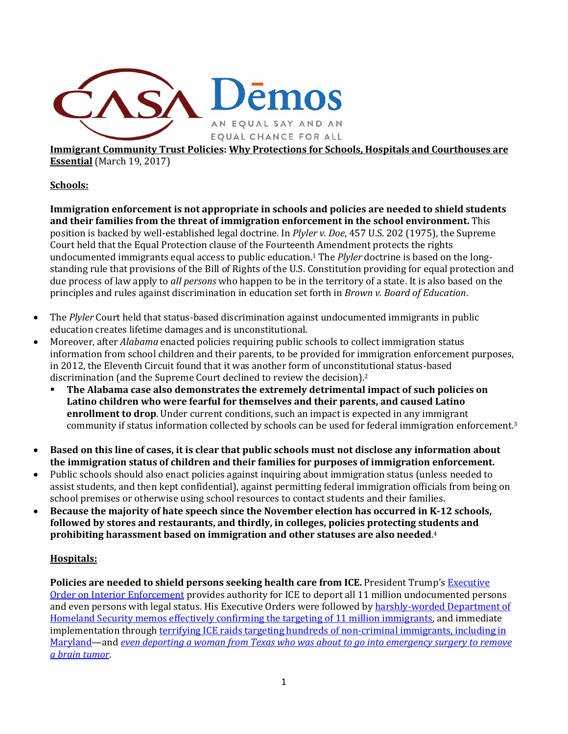

**Immigrant Community Trust Policies: Why Protections for Schools, Hospitals and Courthouses are Essential** (March 19, 2017)

**Schools:**

**Immigration enforcement is not appropriate in schools and policies are needed to shield students and their families from the threat of immigration enforcement in the school environment.** This position is backed by well-established legal doctrine. In *Plyler v. Doe*, 457 U.S. 202 (1975), the Supreme Court held that the Equal Protection clause of the Fourteenth Amendment protects the rights undocumented immigrants equal access to public education. <sup>1</sup> The *Plyler* doctrine is based on the longstanding rule that provisions of the Bill of Rights of the U.S. Constitution providing for equal protection and due process of law apply to *all persons* who happen to be in the territory of a state. It is also based on the principles and rules against discrimination in education set forth in *Brown v. Board of Education*.

- The *Plyler* Court held that status-based discrimination against undocumented immigrants in public education creates lifetime damages and is unconstitutional.
- x Moreover, after *Alabama* enacted policies requiring public schools to collect immigration status information from school children and their parents, to be provided for immigration enforcement purposes, in 2012, the Eleventh Circuit found that it was another form of unconstitutional status-based discrimination (and the Supreme Court declined to review the decision). 2
	- **The Alabama case also demonstrates the extremely detrimental impact of such policies on Latino children who were fearful for themselves and their parents, and caused Latino enrollment to drop**. Under current conditions, such an impact is expected in any immigrant community if status information collected by schools can be used for federal immigration enforcement.3
- x **Based on this line of cases, it is clear that public schools must not disclose any information about the immigration status of children and their families for purposes of immigration enforcement.**
- Public schools should also enact policies against inquiring about immigration status (unless needed to assist students, and then kept confidential), against permitting federal immigration officials from being on school premises or otherwise using school resources to contact students and their families.
- x **Because the majority of hate speech since the November election has occurred in K-12 schools, followed by stores and restaurants, and thirdly, in colleges, policies protecting students and prohibiting harassment based on immigration and other statuses are also needed**. 4

## **Hospitals:**

**Policies are needed to shield persons seeking health care from ICE.** President Trump'[s Executive](http://www.demos.org/sites/default/files/imce/Sanctuary%20City%20EO.pdf)  [Order on Interior Enforcement](http://www.demos.org/sites/default/files/imce/Sanctuary%20City%20EO.pdf) provides authority for ICE to deport all 11 million undocumented persons and even persons with legal status. His Executive Orders were followed b[y harshly-worded](http://www.latimes.com/politics/la-na-pol-trump-immigration-enforcement-20170221-story.html) Department of Homeland Security memos [effectively confirming the targeting of 11 million immigrants,](http://www.latimes.com/politics/la-na-pol-trump-immigration-enforcement-20170221-story.html) and immediate implementation through **terrifying ICE raids targeting hundreds of non-criminal immigrants**, including in Maryland—and *[even deporting a woman from Texas who was about to go into emergency surgery to remove](http://www.latimes.com/nation/la-na-hospital-seizure-20170223-story.html)  [a brain tumor](http://www.latimes.com/nation/la-na-hospital-seizure-20170223-story.html)*.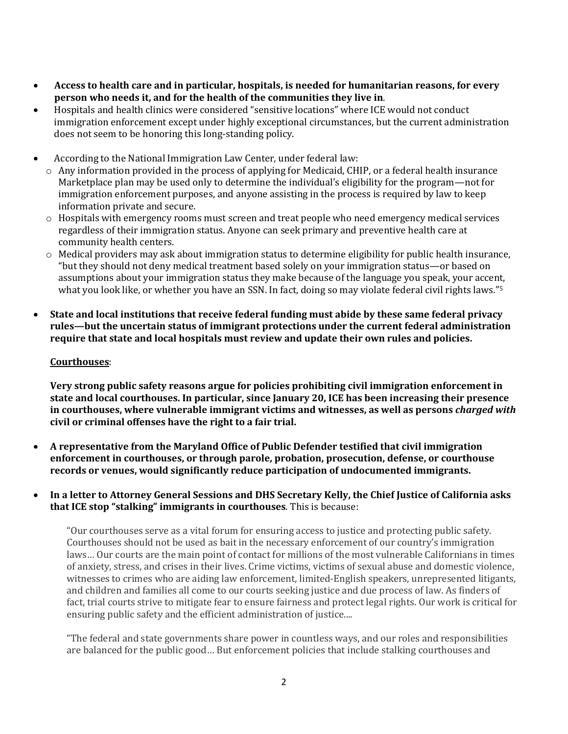- x **Access to health care and in particular, hospitals, is needed for humanitarian reasons, for every person who needs it, and for the health of the communities they live in**.
- x Hospitals and health clinics were considered "sensitive locations" where ICE would not conduct immigration enforcement except under highly exceptional circumstances, but the current administration does not seem to be honoring this long-standing policy.
- According to the National Immigration Law Center, under federal law:
	- $\circ$  Any information provided in the process of applying for Medicaid, CHIP, or a federal health insurance Marketplace plan may be used only to determine the individual's eligibility for the program—not for immigration enforcement purposes, and anyone assisting in the process is required by law to keep information private and secure.
	- o Hospitals with emergency rooms must screen and treat people who need emergency medical services regardless of their immigration status. Anyone can seek primary and preventive health care at community health centers.
	- o Medical providers may ask about immigration status to determine eligibility for public health insurance, "but they should not deny medical treatment based solely on your immigration status—or based on assumptions about your immigration status they make because of the language you speak, your accent, what you look like, or whether you have an SSN. In fact, doing so may violate federal civil rights laws."<sup>5</sup>
- x **State and local institutions that receive federal funding must abide by these same federal privacy rules—but the uncertain status of immigrant protections under the current federal administration require that state and local hospitals must review and update their own rules and policies.**

## **Courthouses**:

**Very strong public safety reasons argue for policies prohibiting civil immigration enforcement in state and local courthouses. In particular, since January 20, ICE has been increasing their presence in courthouses, where vulnerable immigrant victims and witnesses, as well as persons** *charged with* **civil or criminal offenses have the right to a fair trial.**

- x **A representative from the Maryland Office of Public Defender testified that civil immigration enforcement in courthouses, or through parole, probation, prosecution, defense, or courthouse records or venues, would significantly reduce participation of undocumented immigrants.**
- x **In a letter to Attorney General Sessions and DHS Secretary Kelly, the Chief Justice of California asks that ICE stop "stalking" immigrants in courthouses**. This is because:

"Our courthouses serve as a vital forum for ensuring access to justice and protecting public safety. Courthouses should not be used as bait in the necessary enforcement of our country's immigration laws… Our courts are the main point of contact for millions of the most vulnerable Californians in times of anxiety, stress, and crises in their lives. Crime victims, victims of sexual abuse and domestic violence, witnesses to crimes who are aiding law enforcement, limited-English speakers, unrepresented litigants, and children and families all come to our courts seeking justice and due process of law. As finders of fact, trial courts strive to mitigate fear to ensure fairness and protect legal rights. Our work is critical for ensuring public safety and the efficient administration of justice....

"The federal and state governments share power in countless ways, and our roles and responsibilities are balanced for the public good… But enforcement policies that include stalking courthouses and